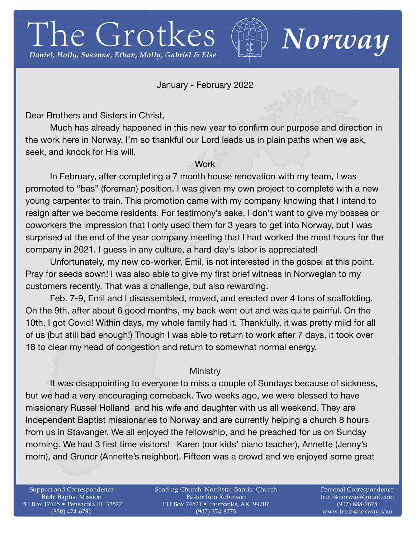# The Grotkes Daniel, Holly, Susanna, Ethan, Molly, Gabriel & Else



Norway

## January - February 2022

Dear Brothers and Sisters in Christ,

Much has already happened in this new year to confirm our purpose and direction in the work here in Norway. I'm so thankful our Lord leads us in plain paths when we ask, seek, and knock for His will.

## **Work**

In February, after completing a 7 month house renovation with my team, I was promoted to "bas" (foreman) position. I was given my own project to complete with a new young carpenter to train. This promotion came with my company knowing that I intend to resign after we become residents. For testimony's sake, I don't want to give my bosses or coworkers the impression that I only used them for 3 years to get into Norway, but I was surprised at the end of the year company meeting that I had worked the most hours for the company in 2021. I guess in any culture, a hard day's labor is appreciated!

Unfortunately, my new co-worker, Emil, is not interested in the gospel at this point. Pray for seeds sown! I was also able to give my first brief witness in Norwegian to my customers recently. That was a challenge, but also rewarding. 

Feb. 7-9, Emil and I disassembled, moved, and erected over 4 tons of scaffolding. On the 9th, after about 6 good months, my back went out and was quite painful. On the 10th, I got Covid! Within days, my whole family had it. Thankfully, it was pretty mild for all of us (but still bad enough!) Though I was able to return to work after 7 days, it took over 18 to clear my head of congestion and return to somewhat normal energy.

## **Ministry**

It was disappointing to everyone to miss a couple of Sundays because of sickness, but we had a very encouraging comeback. Two weeks ago, we were blessed to have missionary Russel Holland and his wife and daughter with us all weekend. They are Independent Baptist missionaries to Norway and are currently helping a church 8 hours from us in Stavanger. We all enjoyed the fellowship, and he preached for us on Sunday morning. We had 3 first time visitors! Karen (our kids' piano teacher), Annette (Jenny's mom), and Grunor (Annette's neighbor). Fifteen was a crowd and we enjoyed some great

Support and Correspondence **Bible Baptist Mission** PO Box 17615 · Pensacola FL 32522 (850) 474-6790

Sending Church: Northstar Baptist Church Pastor Ron Robinson PO Box 74521 · Fairbanks, AK 99707 (907) 374-8775

Personal Correspondence truth4norway@gmail.com (907) 888-2875 www.truth4norway.com